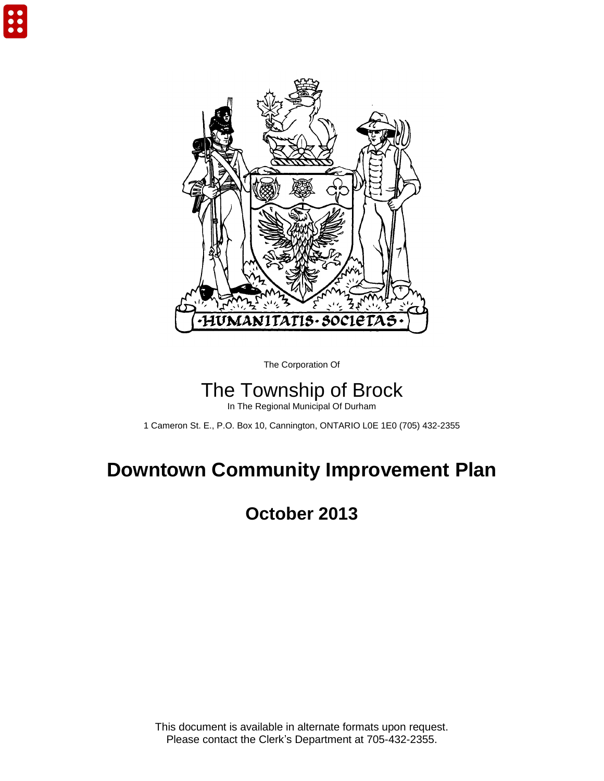

The Corporation Of

# The Township of Brock

In The Regional Municipal Of Durham

1 Cameron St. E., P.O. Box 10, Cannington, ONTARIO L0E 1E0 (705) 432-2355

# **Downtown Community Improvement Plan**

## **October 2013**

This document is available in alternate formats upon request. Please contact the Clerk's Department at 705-432-2355.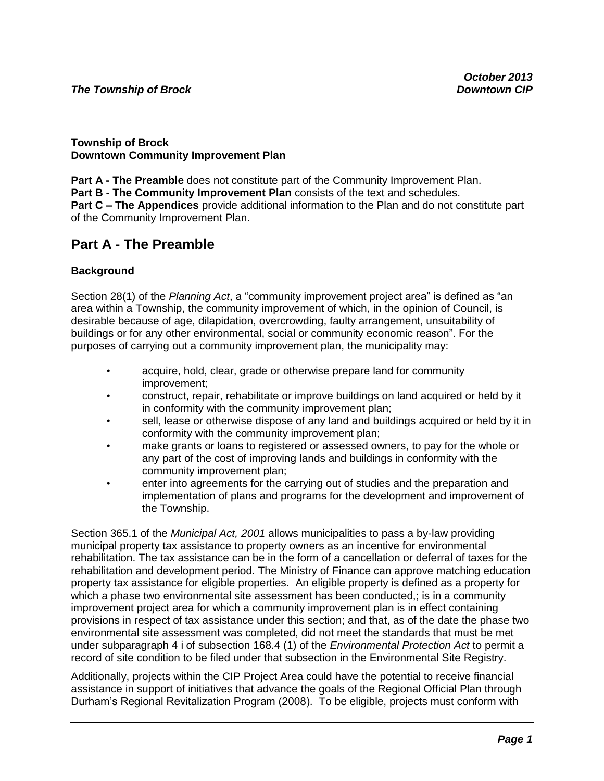#### **Township of Brock Downtown Community Improvement Plan**

**Part A - The Preamble** does not constitute part of the Community Improvement Plan. **Part B - The Community Improvement Plan** consists of the text and schedules. **Part C – The Appendices** provide additional information to the Plan and do not constitute part of the Community Improvement Plan.

## **Part A - The Preamble**

#### **Background**

Section 28(1) of the *Planning Act*, a "community improvement project area" is defined as "an area within a Township, the community improvement of which, in the opinion of Council, is desirable because of age, dilapidation, overcrowding, faulty arrangement, unsuitability of buildings or for any other environmental, social or community economic reason". For the purposes of carrying out a community improvement plan, the municipality may:

- acquire, hold, clear, grade or otherwise prepare land for community improvement;
- construct, repair, rehabilitate or improve buildings on land acquired or held by it in conformity with the community improvement plan;
- sell, lease or otherwise dispose of any land and buildings acquired or held by it in conformity with the community improvement plan;
- make grants or loans to registered or assessed owners, to pay for the whole or any part of the cost of improving lands and buildings in conformity with the community improvement plan;
- enter into agreements for the carrying out of studies and the preparation and implementation of plans and programs for the development and improvement of the Township.

Section 365.1 of the *Municipal Act, 2001* allows municipalities to pass a by-law providing municipal property tax assistance to property owners as an incentive for environmental rehabilitation. The tax assistance can be in the form of a cancellation or deferral of taxes for the rehabilitation and development period. The Ministry of Finance can approve matching education property tax assistance for eligible properties. An eligible property is defined as a property for which a phase two environmental site assessment has been conducted,; is in a community improvement project area for which a community improvement plan is in effect containing provisions in respect of tax assistance under this section; and that, as of the date the phase two environmental site assessment was completed, did not meet the standards that must be met under subparagraph 4 i of subsection 168.4 (1) of the *Environmental Protection Act* to permit a record of site condition to be filed under that subsection in the Environmental Site Registry.

Additionally, projects within the CIP Project Area could have the potential to receive financial assistance in support of initiatives that advance the goals of the Regional Official Plan through Durham's Regional Revitalization Program (2008). To be eligible, projects must conform with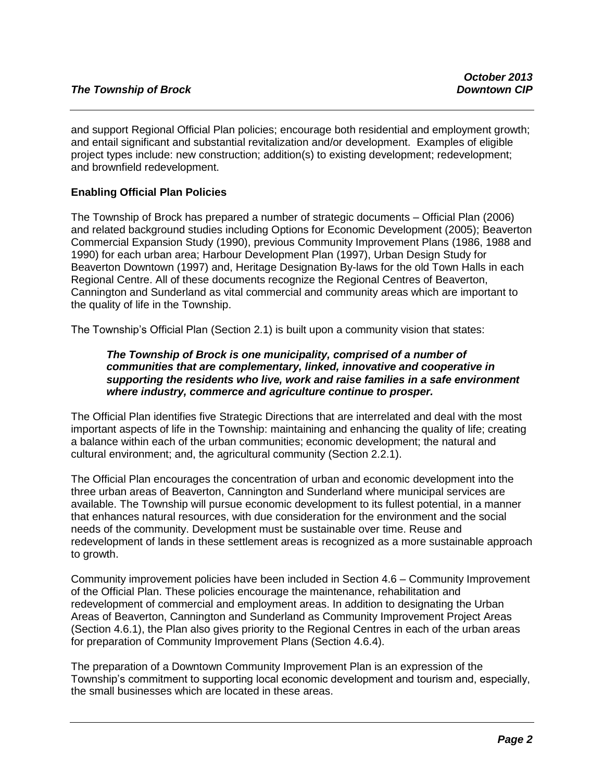and support Regional Official Plan policies; encourage both residential and employment growth; and entail significant and substantial revitalization and/or development. Examples of eligible project types include: new construction; addition(s) to existing development; redevelopment; and brownfield redevelopment.

### **Enabling Official Plan Policies**

The Township of Brock has prepared a number of strategic documents – Official Plan (2006) and related background studies including Options for Economic Development (2005); Beaverton Commercial Expansion Study (1990), previous Community Improvement Plans (1986, 1988 and 1990) for each urban area; Harbour Development Plan (1997), Urban Design Study for Beaverton Downtown (1997) and, Heritage Designation By-laws for the old Town Halls in each Regional Centre. All of these documents recognize the Regional Centres of Beaverton, Cannington and Sunderland as vital commercial and community areas which are important to the quality of life in the Township.

The Township's Official Plan (Section 2.1) is built upon a community vision that states:

#### *The Township of Brock is one municipality, comprised of a number of communities that are complementary, linked, innovative and cooperative in supporting the residents who live, work and raise families in a safe environment where industry, commerce and agriculture continue to prosper.*

The Official Plan identifies five Strategic Directions that are interrelated and deal with the most important aspects of life in the Township: maintaining and enhancing the quality of life; creating a balance within each of the urban communities; economic development; the natural and cultural environment; and, the agricultural community (Section 2.2.1).

The Official Plan encourages the concentration of urban and economic development into the three urban areas of Beaverton, Cannington and Sunderland where municipal services are available. The Township will pursue economic development to its fullest potential, in a manner that enhances natural resources, with due consideration for the environment and the social needs of the community. Development must be sustainable over time. Reuse and redevelopment of lands in these settlement areas is recognized as a more sustainable approach to growth.

Community improvement policies have been included in Section 4.6 – Community Improvement of the Official Plan. These policies encourage the maintenance, rehabilitation and redevelopment of commercial and employment areas. In addition to designating the Urban Areas of Beaverton, Cannington and Sunderland as Community Improvement Project Areas (Section 4.6.1), the Plan also gives priority to the Regional Centres in each of the urban areas for preparation of Community Improvement Plans (Section 4.6.4).

The preparation of a Downtown Community Improvement Plan is an expression of the Township's commitment to supporting local economic development and tourism and, especially, the small businesses which are located in these areas.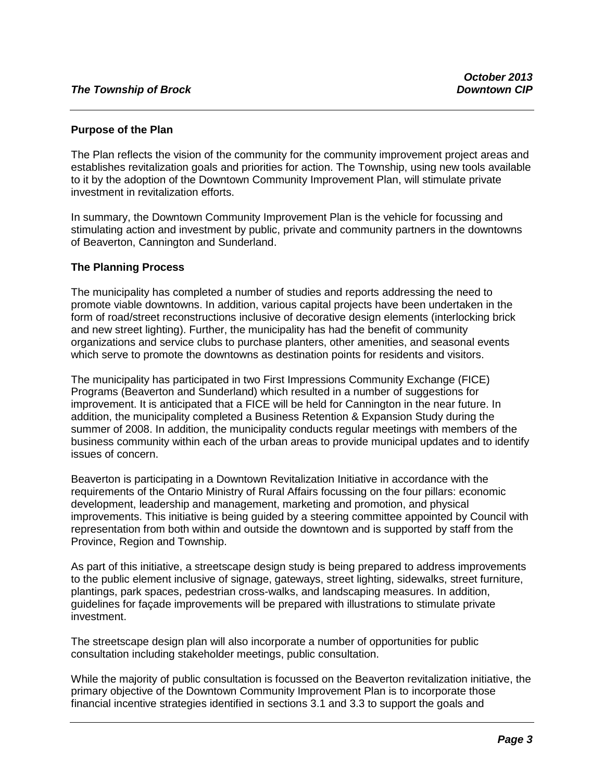#### **Purpose of the Plan**

The Plan reflects the vision of the community for the community improvement project areas and establishes revitalization goals and priorities for action. The Township, using new tools available to it by the adoption of the Downtown Community Improvement Plan, will stimulate private investment in revitalization efforts.

In summary, the Downtown Community Improvement Plan is the vehicle for focussing and stimulating action and investment by public, private and community partners in the downtowns of Beaverton, Cannington and Sunderland.

#### **The Planning Process**

The municipality has completed a number of studies and reports addressing the need to promote viable downtowns. In addition, various capital projects have been undertaken in the form of road/street reconstructions inclusive of decorative design elements (interlocking brick and new street lighting). Further, the municipality has had the benefit of community organizations and service clubs to purchase planters, other amenities, and seasonal events which serve to promote the downtowns as destination points for residents and visitors.

The municipality has participated in two First Impressions Community Exchange (FICE) Programs (Beaverton and Sunderland) which resulted in a number of suggestions for improvement. It is anticipated that a FICE will be held for Cannington in the near future. In addition, the municipality completed a Business Retention & Expansion Study during the summer of 2008. In addition, the municipality conducts regular meetings with members of the business community within each of the urban areas to provide municipal updates and to identify issues of concern.

Beaverton is participating in a Downtown Revitalization Initiative in accordance with the requirements of the Ontario Ministry of Rural Affairs focussing on the four pillars: economic development, leadership and management, marketing and promotion, and physical improvements. This initiative is being guided by a steering committee appointed by Council with representation from both within and outside the downtown and is supported by staff from the Province, Region and Township.

As part of this initiative, a streetscape design study is being prepared to address improvements to the public element inclusive of signage, gateways, street lighting, sidewalks, street furniture, plantings, park spaces, pedestrian cross-walks, and landscaping measures. In addition, guidelines for façade improvements will be prepared with illustrations to stimulate private investment.

The streetscape design plan will also incorporate a number of opportunities for public consultation including stakeholder meetings, public consultation.

While the majority of public consultation is focussed on the Beaverton revitalization initiative, the primary objective of the Downtown Community Improvement Plan is to incorporate those financial incentive strategies identified in sections 3.1 and 3.3 to support the goals and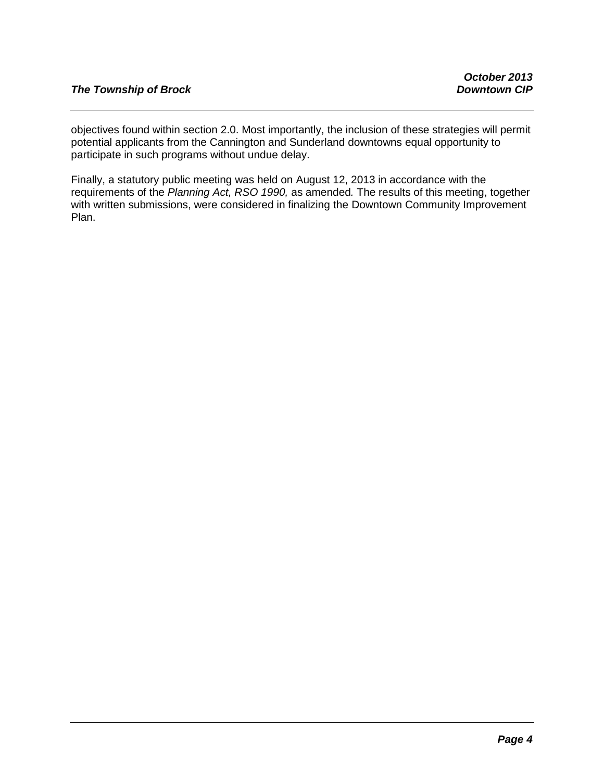objectives found within section 2.0. Most importantly, the inclusion of these strategies will permit potential applicants from the Cannington and Sunderland downtowns equal opportunity to participate in such programs without undue delay.

Finally, a statutory public meeting was held on August 12, 2013 in accordance with the requirements of the *Planning Act, RSO 1990,* as amended*.* The results of this meeting, together with written submissions, were considered in finalizing the Downtown Community Improvement Plan.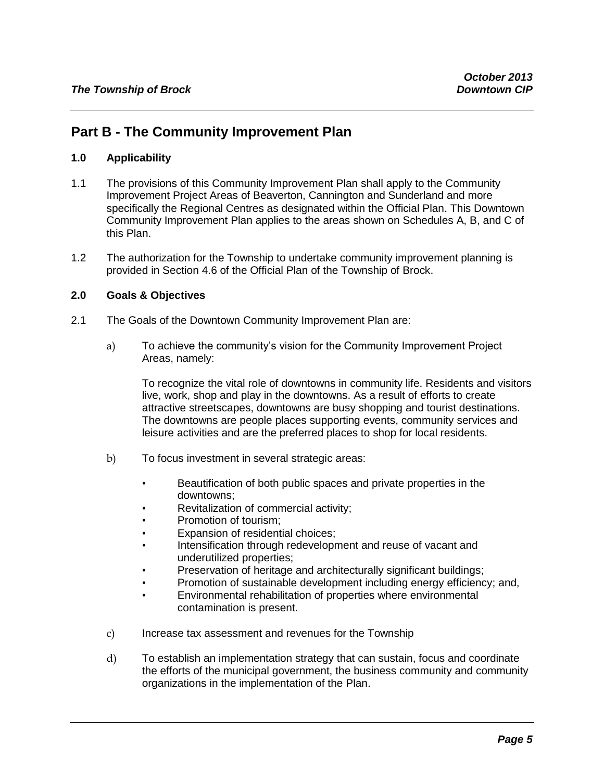## **Part B - The Community Improvement Plan**

#### **1.0 Applicability**

- 1.1 The provisions of this Community Improvement Plan shall apply to the Community Improvement Project Areas of Beaverton, Cannington and Sunderland and more specifically the Regional Centres as designated within the Official Plan. This Downtown Community Improvement Plan applies to the areas shown on Schedules A, B, and C of this Plan.
- 1.2 The authorization for the Township to undertake community improvement planning is provided in Section 4.6 of the Official Plan of the Township of Brock.

#### **2.0 Goals & Objectives**

- 2.1 The Goals of the Downtown Community Improvement Plan are:
	- a) To achieve the community's vision for the Community Improvement Project Areas, namely:

To recognize the vital role of downtowns in community life. Residents and visitors live, work, shop and play in the downtowns. As a result of efforts to create attractive streetscapes, downtowns are busy shopping and tourist destinations. The downtowns are people places supporting events, community services and leisure activities and are the preferred places to shop for local residents.

- b) To focus investment in several strategic areas:
	- Beautification of both public spaces and private properties in the downtowns;
	- Revitalization of commercial activity;
	- Promotion of tourism:
	- Expansion of residential choices:
	- Intensification through redevelopment and reuse of vacant and underutilized properties;
	- Preservation of heritage and architecturally significant buildings;
	- Promotion of sustainable development including energy efficiency; and,
	- Environmental rehabilitation of properties where environmental contamination is present.
- c) Increase tax assessment and revenues for the Township
- d) To establish an implementation strategy that can sustain, focus and coordinate the efforts of the municipal government, the business community and community organizations in the implementation of the Plan.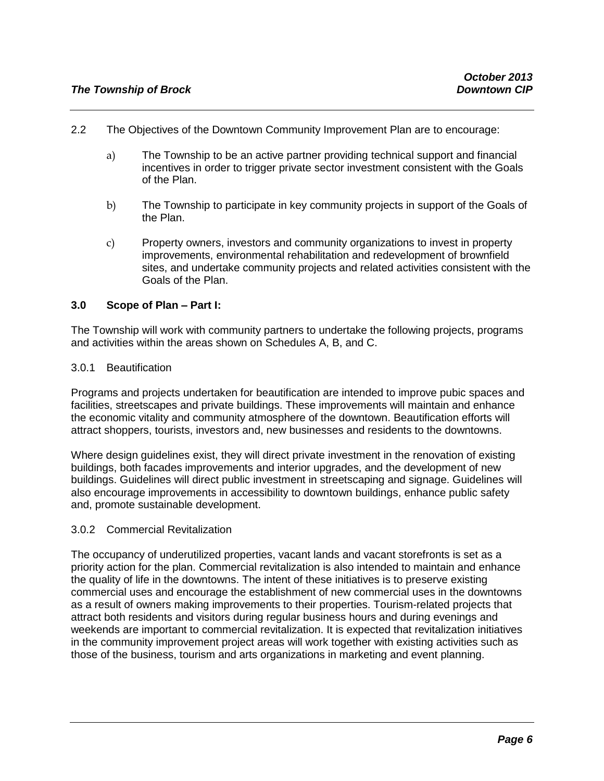- 2.2 The Objectives of the Downtown Community Improvement Plan are to encourage:
	- a) The Township to be an active partner providing technical support and financial incentives in order to trigger private sector investment consistent with the Goals of the Plan.
	- b) The Township to participate in key community projects in support of the Goals of the Plan.
	- c) Property owners, investors and community organizations to invest in property improvements, environmental rehabilitation and redevelopment of brownfield sites, and undertake community projects and related activities consistent with the Goals of the Plan.

#### **3.0 Scope of Plan – Part I:**

The Township will work with community partners to undertake the following projects, programs and activities within the areas shown on Schedules A, B, and C.

#### 3.0.1 Beautification

Programs and projects undertaken for beautification are intended to improve pubic spaces and facilities, streetscapes and private buildings. These improvements will maintain and enhance the economic vitality and community atmosphere of the downtown. Beautification efforts will attract shoppers, tourists, investors and, new businesses and residents to the downtowns.

Where design guidelines exist, they will direct private investment in the renovation of existing buildings, both facades improvements and interior upgrades, and the development of new buildings. Guidelines will direct public investment in streetscaping and signage. Guidelines will also encourage improvements in accessibility to downtown buildings, enhance public safety and, promote sustainable development.

#### 3.0.2 Commercial Revitalization

The occupancy of underutilized properties, vacant lands and vacant storefronts is set as a priority action for the plan. Commercial revitalization is also intended to maintain and enhance the quality of life in the downtowns. The intent of these initiatives is to preserve existing commercial uses and encourage the establishment of new commercial uses in the downtowns as a result of owners making improvements to their properties. Tourism-related projects that attract both residents and visitors during regular business hours and during evenings and weekends are important to commercial revitalization. It is expected that revitalization initiatives in the community improvement project areas will work together with existing activities such as those of the business, tourism and arts organizations in marketing and event planning.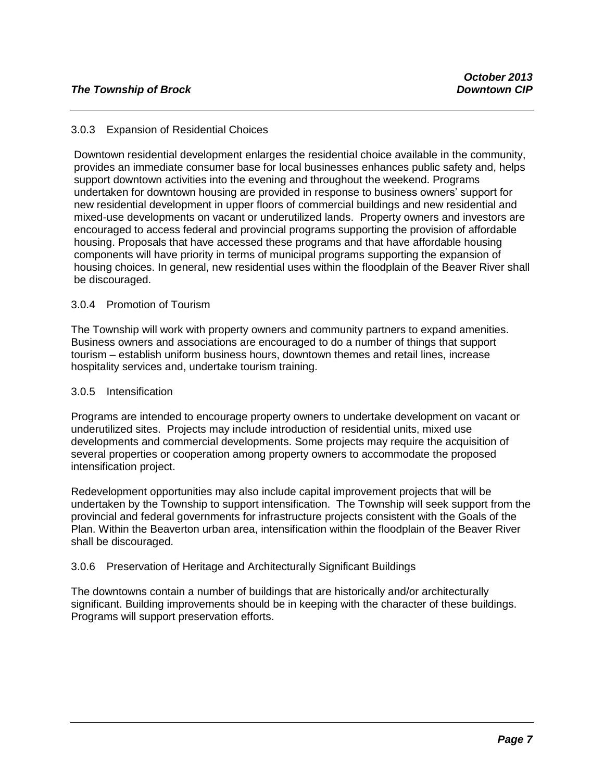#### 3.0.3 Expansion of Residential Choices

Downtown residential development enlarges the residential choice available in the community, provides an immediate consumer base for local businesses enhances public safety and, helps support downtown activities into the evening and throughout the weekend. Programs undertaken for downtown housing are provided in response to business owners' support for new residential development in upper floors of commercial buildings and new residential and mixed-use developments on vacant or underutilized lands. Property owners and investors are encouraged to access federal and provincial programs supporting the provision of affordable housing. Proposals that have accessed these programs and that have affordable housing components will have priority in terms of municipal programs supporting the expansion of housing choices. In general, new residential uses within the floodplain of the Beaver River shall be discouraged.

#### 3.0.4 Promotion of Tourism

The Township will work with property owners and community partners to expand amenities. Business owners and associations are encouraged to do a number of things that support tourism – establish uniform business hours, downtown themes and retail lines, increase hospitality services and, undertake tourism training.

#### 3.0.5 Intensification

Programs are intended to encourage property owners to undertake development on vacant or underutilized sites. Projects may include introduction of residential units, mixed use developments and commercial developments. Some projects may require the acquisition of several properties or cooperation among property owners to accommodate the proposed intensification project.

Redevelopment opportunities may also include capital improvement projects that will be undertaken by the Township to support intensification. The Township will seek support from the provincial and federal governments for infrastructure projects consistent with the Goals of the Plan. Within the Beaverton urban area, intensification within the floodplain of the Beaver River shall be discouraged.

#### 3.0.6 Preservation of Heritage and Architecturally Significant Buildings

The downtowns contain a number of buildings that are historically and/or architecturally significant. Building improvements should be in keeping with the character of these buildings. Programs will support preservation efforts.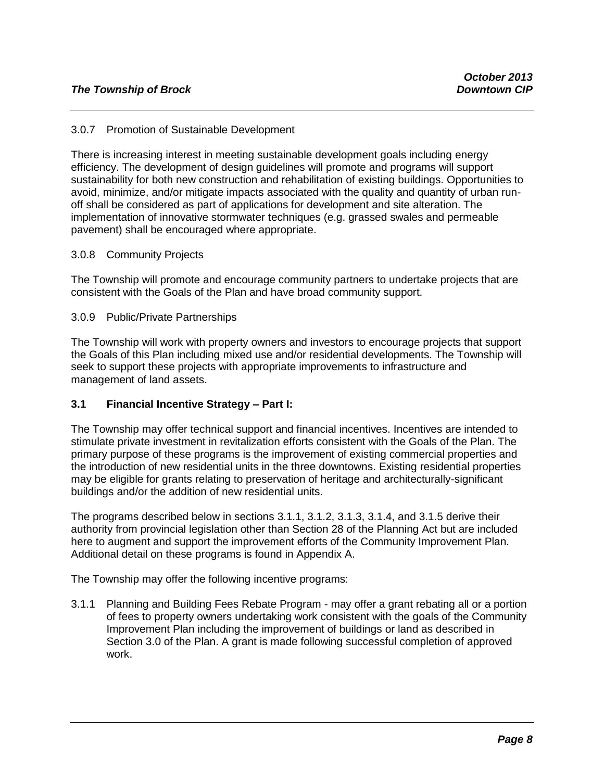#### 3.0.7 Promotion of Sustainable Development

There is increasing interest in meeting sustainable development goals including energy efficiency. The development of design guidelines will promote and programs will support sustainability for both new construction and rehabilitation of existing buildings. Opportunities to avoid, minimize, and/or mitigate impacts associated with the quality and quantity of urban runoff shall be considered as part of applications for development and site alteration. The implementation of innovative stormwater techniques (e.g. grassed swales and permeable pavement) shall be encouraged where appropriate.

#### 3.0.8 Community Projects

The Township will promote and encourage community partners to undertake projects that are consistent with the Goals of the Plan and have broad community support.

#### 3.0.9 Public/Private Partnerships

The Township will work with property owners and investors to encourage projects that support the Goals of this Plan including mixed use and/or residential developments. The Township will seek to support these projects with appropriate improvements to infrastructure and management of land assets.

#### **3.1 Financial Incentive Strategy – Part I:**

The Township may offer technical support and financial incentives. Incentives are intended to stimulate private investment in revitalization efforts consistent with the Goals of the Plan. The primary purpose of these programs is the improvement of existing commercial properties and the introduction of new residential units in the three downtowns. Existing residential properties may be eligible for grants relating to preservation of heritage and architecturally-significant buildings and/or the addition of new residential units.

The programs described below in sections 3.1.1, 3.1.2, 3.1.3, 3.1.4, and 3.1.5 derive their authority from provincial legislation other than Section 28 of the Planning Act but are included here to augment and support the improvement efforts of the Community Improvement Plan. Additional detail on these programs is found in Appendix A.

The Township may offer the following incentive programs:

3.1.1 Planning and Building Fees Rebate Program - may offer a grant rebating all or a portion of fees to property owners undertaking work consistent with the goals of the Community Improvement Plan including the improvement of buildings or land as described in Section 3.0 of the Plan. A grant is made following successful completion of approved work.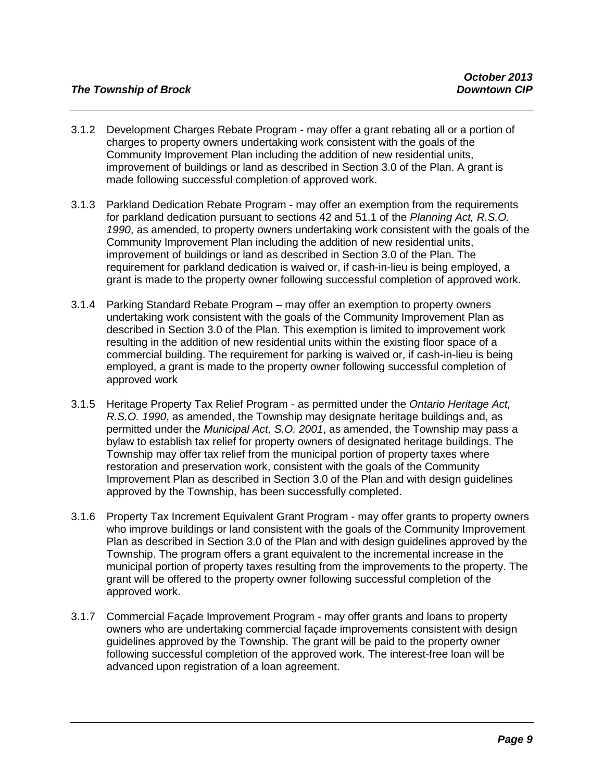- 3.1.2 Development Charges Rebate Program may offer a grant rebating all or a portion of charges to property owners undertaking work consistent with the goals of the Community Improvement Plan including the addition of new residential units, improvement of buildings or land as described in Section 3.0 of the Plan. A grant is made following successful completion of approved work.
- 3.1.3 Parkland Dedication Rebate Program may offer an exemption from the requirements for parkland dedication pursuant to sections 42 and 51.1 of the *Planning Act, R.S.O. 1990*, as amended, to property owners undertaking work consistent with the goals of the Community Improvement Plan including the addition of new residential units, improvement of buildings or land as described in Section 3.0 of the Plan. The requirement for parkland dedication is waived or, if cash-in-lieu is being employed, a grant is made to the property owner following successful completion of approved work.
- 3.1.4 Parking Standard Rebate Program may offer an exemption to property owners undertaking work consistent with the goals of the Community Improvement Plan as described in Section 3.0 of the Plan. This exemption is limited to improvement work resulting in the addition of new residential units within the existing floor space of a commercial building. The requirement for parking is waived or, if cash-in-lieu is being employed, a grant is made to the property owner following successful completion of approved work
- 3.1.5 Heritage Property Tax Relief Program as permitted under the *Ontario Heritage Act, R.S.O. 1990*, as amended, the Township may designate heritage buildings and, as permitted under the *Municipal Act, S.O. 2001*, as amended, the Township may pass a bylaw to establish tax relief for property owners of designated heritage buildings. The Township may offer tax relief from the municipal portion of property taxes where restoration and preservation work, consistent with the goals of the Community Improvement Plan as described in Section 3.0 of the Plan and with design guidelines approved by the Township, has been successfully completed.
- 3.1.6 Property Tax Increment Equivalent Grant Program may offer grants to property owners who improve buildings or land consistent with the goals of the Community Improvement Plan as described in Section 3.0 of the Plan and with design guidelines approved by the Township. The program offers a grant equivalent to the incremental increase in the municipal portion of property taxes resulting from the improvements to the property. The grant will be offered to the property owner following successful completion of the approved work.
- 3.1.7 Commercial Façade Improvement Program may offer grants and loans to property owners who are undertaking commercial façade improvements consistent with design guidelines approved by the Township. The grant will be paid to the property owner following successful completion of the approved work. The interest-free loan will be advanced upon registration of a loan agreement.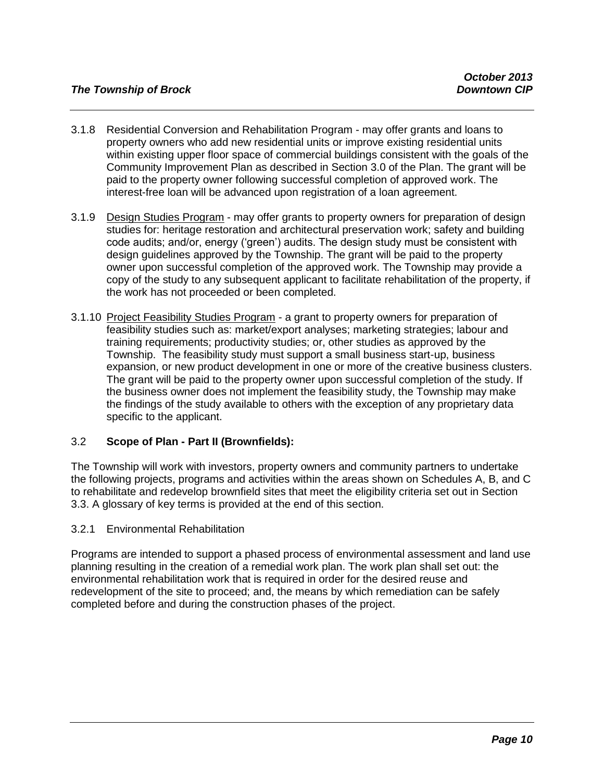- 3.1.8 Residential Conversion and Rehabilitation Program may offer grants and loans to property owners who add new residential units or improve existing residential units within existing upper floor space of commercial buildings consistent with the goals of the Community Improvement Plan as described in Section 3.0 of the Plan. The grant will be paid to the property owner following successful completion of approved work. The interest-free loan will be advanced upon registration of a loan agreement.
- 3.1.9 Design Studies Program may offer grants to property owners for preparation of design studies for: heritage restoration and architectural preservation work; safety and building code audits; and/or, energy ('green') audits. The design study must be consistent with design guidelines approved by the Township. The grant will be paid to the property owner upon successful completion of the approved work. The Township may provide a copy of the study to any subsequent applicant to facilitate rehabilitation of the property, if the work has not proceeded or been completed.
- 3.1.10 Project Feasibility Studies Program a grant to property owners for preparation of feasibility studies such as: market/export analyses; marketing strategies; labour and training requirements; productivity studies; or, other studies as approved by the Township. The feasibility study must support a small business start-up, business expansion, or new product development in one or more of the creative business clusters. The grant will be paid to the property owner upon successful completion of the study. If the business owner does not implement the feasibility study, the Township may make the findings of the study available to others with the exception of any proprietary data specific to the applicant.

#### 3.2 **Scope of Plan - Part II (Brownfields):**

The Township will work with investors, property owners and community partners to undertake the following projects, programs and activities within the areas shown on Schedules A, B, and C to rehabilitate and redevelop brownfield sites that meet the eligibility criteria set out in Section 3.3. A glossary of key terms is provided at the end of this section.

#### 3.2.1 Environmental Rehabilitation

Programs are intended to support a phased process of environmental assessment and land use planning resulting in the creation of a remedial work plan. The work plan shall set out: the environmental rehabilitation work that is required in order for the desired reuse and redevelopment of the site to proceed; and, the means by which remediation can be safely completed before and during the construction phases of the project.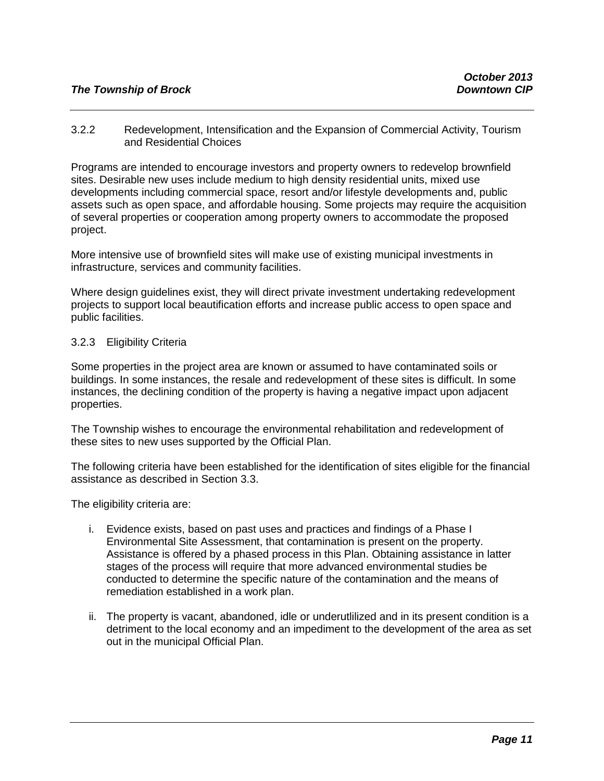#### *The Township of Brock Downtown CIP*

3.2.2 Redevelopment, Intensification and the Expansion of Commercial Activity, Tourism and Residential Choices

Programs are intended to encourage investors and property owners to redevelop brownfield sites. Desirable new uses include medium to high density residential units, mixed use developments including commercial space, resort and/or lifestyle developments and, public assets such as open space, and affordable housing. Some projects may require the acquisition of several properties or cooperation among property owners to accommodate the proposed project.

More intensive use of brownfield sites will make use of existing municipal investments in infrastructure, services and community facilities.

Where design guidelines exist, they will direct private investment undertaking redevelopment projects to support local beautification efforts and increase public access to open space and public facilities.

#### 3.2.3 Eligibility Criteria

Some properties in the project area are known or assumed to have contaminated soils or buildings. In some instances, the resale and redevelopment of these sites is difficult. In some instances, the declining condition of the property is having a negative impact upon adjacent properties.

The Township wishes to encourage the environmental rehabilitation and redevelopment of these sites to new uses supported by the Official Plan.

The following criteria have been established for the identification of sites eligible for the financial assistance as described in Section 3.3.

The eligibility criteria are:

- i. Evidence exists, based on past uses and practices and findings of a Phase I Environmental Site Assessment, that contamination is present on the property. Assistance is offered by a phased process in this Plan. Obtaining assistance in latter stages of the process will require that more advanced environmental studies be conducted to determine the specific nature of the contamination and the means of remediation established in a work plan.
- ii. The property is vacant, abandoned, idle or underutlilized and in its present condition is a detriment to the local economy and an impediment to the development of the area as set out in the municipal Official Plan.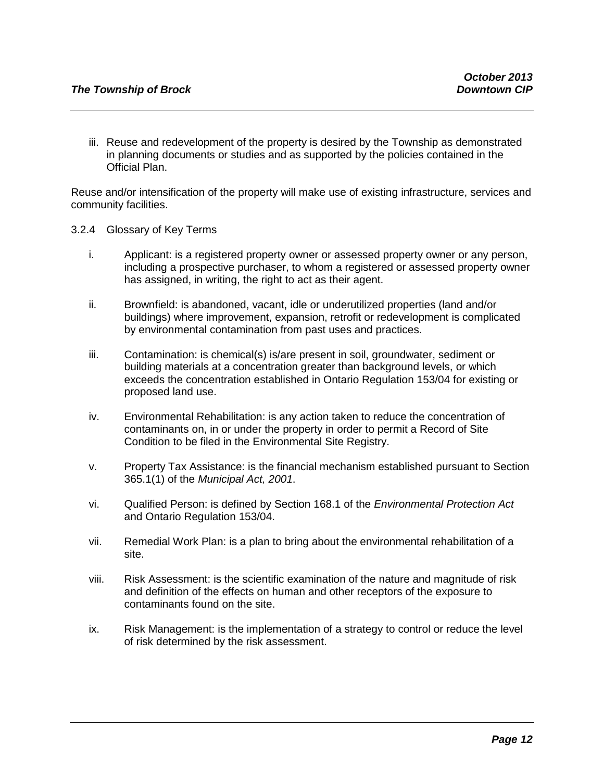iii. Reuse and redevelopment of the property is desired by the Township as demonstrated in planning documents or studies and as supported by the policies contained in the Official Plan.

Reuse and/or intensification of the property will make use of existing infrastructure, services and community facilities.

- 3.2.4 Glossary of Key Terms
	- i. Applicant: is a registered property owner or assessed property owner or any person, including a prospective purchaser, to whom a registered or assessed property owner has assigned, in writing, the right to act as their agent.
	- ii. Brownfield: is abandoned, vacant, idle or underutilized properties (land and/or buildings) where improvement, expansion, retrofit or redevelopment is complicated by environmental contamination from past uses and practices.
	- iii. Contamination: is chemical(s) is/are present in soil, groundwater, sediment or building materials at a concentration greater than background levels, or which exceeds the concentration established in Ontario Regulation 153/04 for existing or proposed land use.
	- iv. Environmental Rehabilitation: is any action taken to reduce the concentration of contaminants on, in or under the property in order to permit a Record of Site Condition to be filed in the Environmental Site Registry.
	- v. Property Tax Assistance: is the financial mechanism established pursuant to Section 365.1(1) of the *Municipal Act, 2001*.
	- vi. Qualified Person: is defined by Section 168.1 of the *Environmental Protection Act* and Ontario Regulation 153/04.
	- vii. Remedial Work Plan: is a plan to bring about the environmental rehabilitation of a site.
	- viii. Risk Assessment: is the scientific examination of the nature and magnitude of risk and definition of the effects on human and other receptors of the exposure to contaminants found on the site.
	- ix. Risk Management: is the implementation of a strategy to control or reduce the level of risk determined by the risk assessment.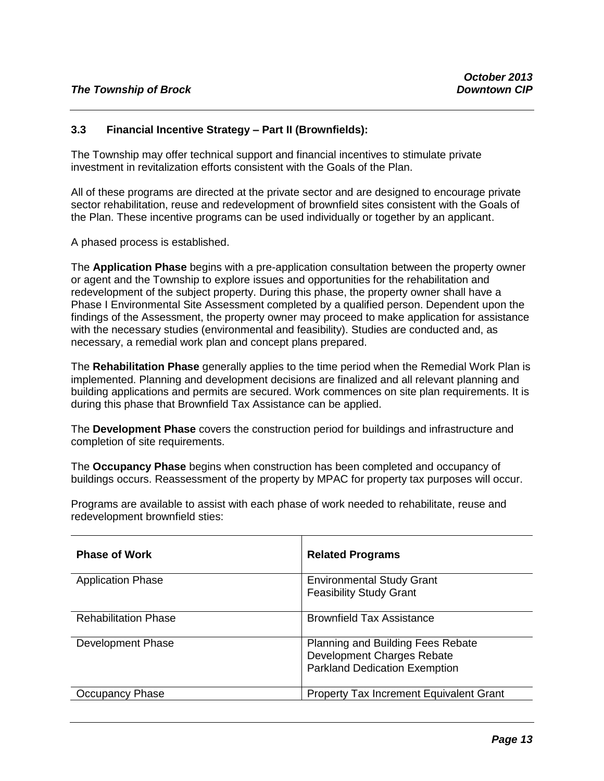#### **3.3 Financial Incentive Strategy – Part II (Brownfields):**

The Township may offer technical support and financial incentives to stimulate private investment in revitalization efforts consistent with the Goals of the Plan.

All of these programs are directed at the private sector and are designed to encourage private sector rehabilitation, reuse and redevelopment of brownfield sites consistent with the Goals of the Plan. These incentive programs can be used individually or together by an applicant.

A phased process is established.

The **Application Phase** begins with a pre-application consultation between the property owner or agent and the Township to explore issues and opportunities for the rehabilitation and redevelopment of the subject property. During this phase, the property owner shall have a Phase I Environmental Site Assessment completed by a qualified person. Dependent upon the findings of the Assessment, the property owner may proceed to make application for assistance with the necessary studies (environmental and feasibility). Studies are conducted and, as necessary, a remedial work plan and concept plans prepared.

The **Rehabilitation Phase** generally applies to the time period when the Remedial Work Plan is implemented. Planning and development decisions are finalized and all relevant planning and building applications and permits are secured. Work commences on site plan requirements. It is during this phase that Brownfield Tax Assistance can be applied.

The **Development Phase** covers the construction period for buildings and infrastructure and completion of site requirements.

The **Occupancy Phase** begins when construction has been completed and occupancy of buildings occurs. Reassessment of the property by MPAC for property tax purposes will occur.

| <b>Phase of Work</b>        | <b>Related Programs</b>                                                                                        |
|-----------------------------|----------------------------------------------------------------------------------------------------------------|
| <b>Application Phase</b>    | <b>Environmental Study Grant</b><br><b>Feasibility Study Grant</b>                                             |
| <b>Rehabilitation Phase</b> | <b>Brownfield Tax Assistance</b>                                                                               |
| Development Phase           | <b>Planning and Building Fees Rebate</b><br>Development Charges Rebate<br><b>Parkland Dedication Exemption</b> |
| Occupancy Phase             | Property Tax Increment Equivalent Grant                                                                        |

Programs are available to assist with each phase of work needed to rehabilitate, reuse and redevelopment brownfield sties: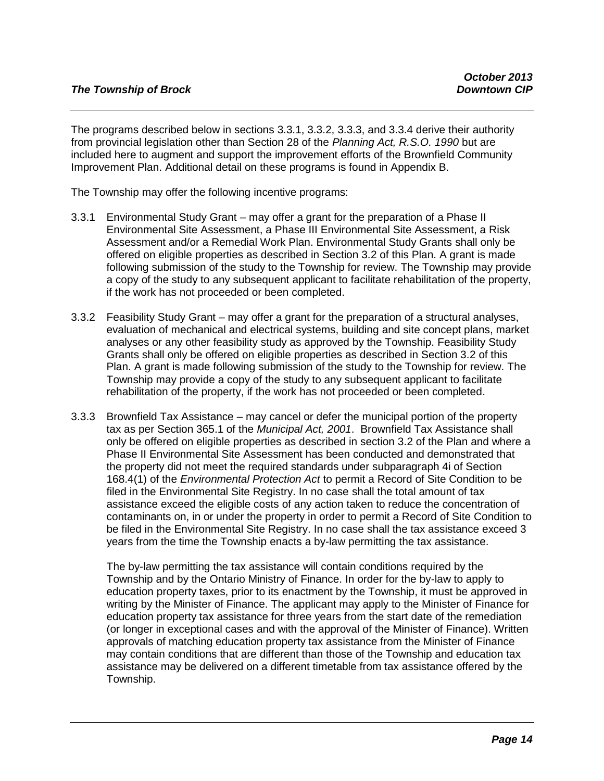The programs described below in sections 3.3.1, 3.3.2, 3.3.3, and 3.3.4 derive their authority from provincial legislation other than Section 28 of the *Planning Act, R.S.O. 1990* but are included here to augment and support the improvement efforts of the Brownfield Community Improvement Plan. Additional detail on these programs is found in Appendix B.

The Township may offer the following incentive programs:

- 3.3.1 Environmental Study Grant may offer a grant for the preparation of a Phase II Environmental Site Assessment, a Phase III Environmental Site Assessment, a Risk Assessment and/or a Remedial Work Plan. Environmental Study Grants shall only be offered on eligible properties as described in Section 3.2 of this Plan. A grant is made following submission of the study to the Township for review. The Township may provide a copy of the study to any subsequent applicant to facilitate rehabilitation of the property, if the work has not proceeded or been completed.
- 3.3.2 Feasibility Study Grant may offer a grant for the preparation of a structural analyses, evaluation of mechanical and electrical systems, building and site concept plans, market analyses or any other feasibility study as approved by the Township. Feasibility Study Grants shall only be offered on eligible properties as described in Section 3.2 of this Plan. A grant is made following submission of the study to the Township for review. The Township may provide a copy of the study to any subsequent applicant to facilitate rehabilitation of the property, if the work has not proceeded or been completed.
- 3.3.3 Brownfield Tax Assistance may cancel or defer the municipal portion of the property tax as per Section 365.1 of the *Municipal Act, 2001*. Brownfield Tax Assistance shall only be offered on eligible properties as described in section 3.2 of the Plan and where a Phase II Environmental Site Assessment has been conducted and demonstrated that the property did not meet the required standards under subparagraph 4i of Section 168.4(1) of the *Environmental Protection Act* to permit a Record of Site Condition to be filed in the Environmental Site Registry. In no case shall the total amount of tax assistance exceed the eligible costs of any action taken to reduce the concentration of contaminants on, in or under the property in order to permit a Record of Site Condition to be filed in the Environmental Site Registry. In no case shall the tax assistance exceed 3 years from the time the Township enacts a by-law permitting the tax assistance.

The by-law permitting the tax assistance will contain conditions required by the Township and by the Ontario Ministry of Finance. In order for the by-law to apply to education property taxes, prior to its enactment by the Township, it must be approved in writing by the Minister of Finance. The applicant may apply to the Minister of Finance for education property tax assistance for three years from the start date of the remediation (or longer in exceptional cases and with the approval of the Minister of Finance). Written approvals of matching education property tax assistance from the Minister of Finance may contain conditions that are different than those of the Township and education tax assistance may be delivered on a different timetable from tax assistance offered by the Township.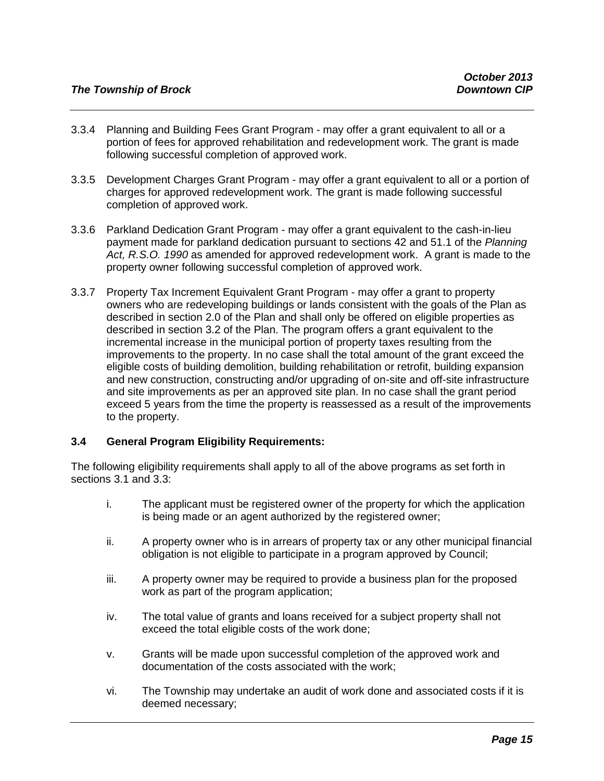- 3.3.4 Planning and Building Fees Grant Program may offer a grant equivalent to all or a portion of fees for approved rehabilitation and redevelopment work. The grant is made following successful completion of approved work.
- 3.3.5 Development Charges Grant Program may offer a grant equivalent to all or a portion of charges for approved redevelopment work. The grant is made following successful completion of approved work.
- 3.3.6 Parkland Dedication Grant Program may offer a grant equivalent to the cash-in-lieu payment made for parkland dedication pursuant to sections 42 and 51.1 of the *Planning Act, R.S.O. 1990* as amended for approved redevelopment work. A grant is made to the property owner following successful completion of approved work.
- 3.3.7 Property Tax Increment Equivalent Grant Program may offer a grant to property owners who are redeveloping buildings or lands consistent with the goals of the Plan as described in section 2.0 of the Plan and shall only be offered on eligible properties as described in section 3.2 of the Plan. The program offers a grant equivalent to the incremental increase in the municipal portion of property taxes resulting from the improvements to the property. In no case shall the total amount of the grant exceed the eligible costs of building demolition, building rehabilitation or retrofit, building expansion and new construction, constructing and/or upgrading of on-site and off-site infrastructure and site improvements as per an approved site plan. In no case shall the grant period exceed 5 years from the time the property is reassessed as a result of the improvements to the property.

#### **3.4 General Program Eligibility Requirements:**

The following eligibility requirements shall apply to all of the above programs as set forth in sections 3.1 and 3.3:

- i. The applicant must be registered owner of the property for which the application is being made or an agent authorized by the registered owner;
- ii. A property owner who is in arrears of property tax or any other municipal financial obligation is not eligible to participate in a program approved by Council;
- iii. A property owner may be required to provide a business plan for the proposed work as part of the program application;
- iv. The total value of grants and loans received for a subject property shall not exceed the total eligible costs of the work done;
- v. Grants will be made upon successful completion of the approved work and documentation of the costs associated with the work;
- vi. The Township may undertake an audit of work done and associated costs if it is deemed necessary;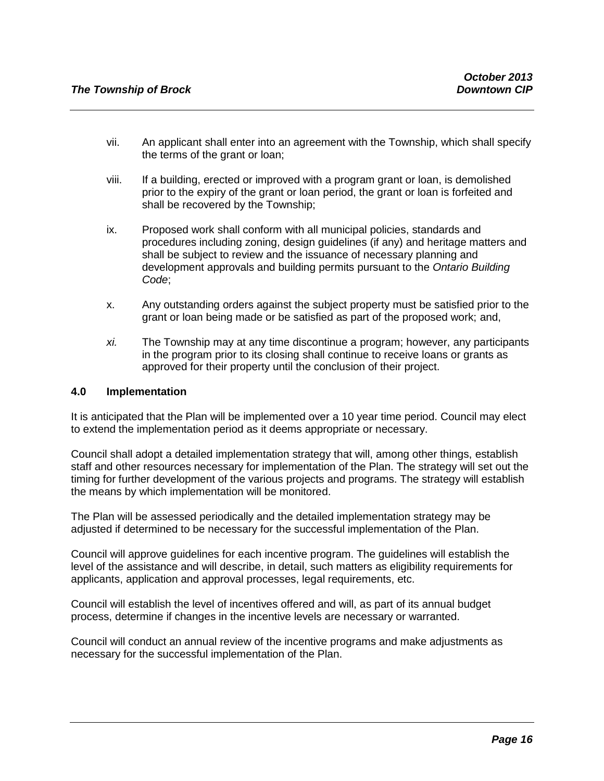- vii. An applicant shall enter into an agreement with the Township, which shall specify the terms of the grant or loan;
- viii. If a building, erected or improved with a program grant or loan, is demolished prior to the expiry of the grant or loan period, the grant or loan is forfeited and shall be recovered by the Township;
- ix. Proposed work shall conform with all municipal policies, standards and procedures including zoning, design guidelines (if any) and heritage matters and shall be subject to review and the issuance of necessary planning and development approvals and building permits pursuant to the *Ontario Building Code*;
- x. Any outstanding orders against the subject property must be satisfied prior to the grant or loan being made or be satisfied as part of the proposed work; and,
- *xi.* The Township may at any time discontinue a program; however, any participants in the program prior to its closing shall continue to receive loans or grants as approved for their property until the conclusion of their project.

#### **4.0 Implementation**

It is anticipated that the Plan will be implemented over a 10 year time period. Council may elect to extend the implementation period as it deems appropriate or necessary.

Council shall adopt a detailed implementation strategy that will, among other things, establish staff and other resources necessary for implementation of the Plan. The strategy will set out the timing for further development of the various projects and programs. The strategy will establish the means by which implementation will be monitored.

The Plan will be assessed periodically and the detailed implementation strategy may be adjusted if determined to be necessary for the successful implementation of the Plan.

Council will approve guidelines for each incentive program. The guidelines will establish the level of the assistance and will describe, in detail, such matters as eligibility requirements for applicants, application and approval processes, legal requirements, etc.

Council will establish the level of incentives offered and will, as part of its annual budget process, determine if changes in the incentive levels are necessary or warranted.

Council will conduct an annual review of the incentive programs and make adjustments as necessary for the successful implementation of the Plan.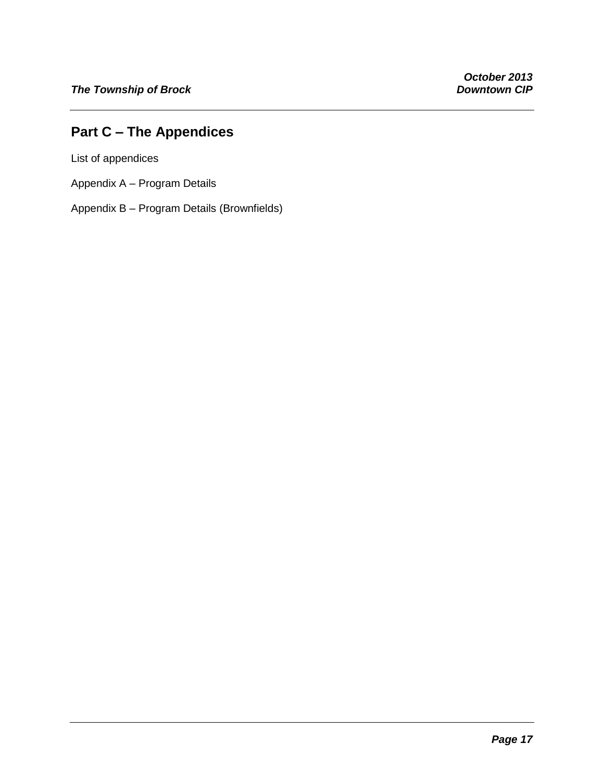## **Part C – The Appendices**

List of appendices

- Appendix A Program Details
- Appendix B Program Details (Brownfields)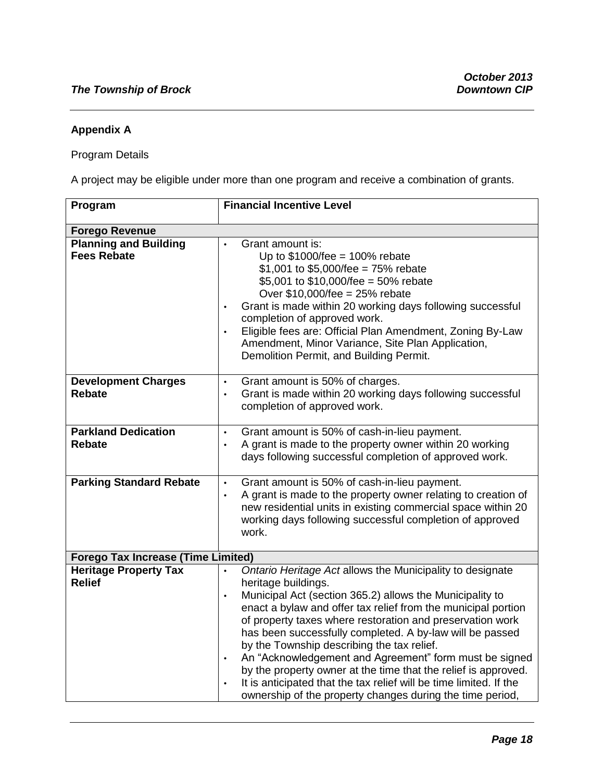### **Appendix A**

### Program Details

A project may be eligible under more than one program and receive a combination of grants.

| Program                                            | <b>Financial Incentive Level</b>                                                                                                                                                                                                                                                                                                                                                                                                                                                                                                                                                                                                                                                           |
|----------------------------------------------------|--------------------------------------------------------------------------------------------------------------------------------------------------------------------------------------------------------------------------------------------------------------------------------------------------------------------------------------------------------------------------------------------------------------------------------------------------------------------------------------------------------------------------------------------------------------------------------------------------------------------------------------------------------------------------------------------|
| <b>Forego Revenue</b>                              |                                                                                                                                                                                                                                                                                                                                                                                                                                                                                                                                                                                                                                                                                            |
| <b>Planning and Building</b><br><b>Fees Rebate</b> | Grant amount is:<br>Up to $$1000$ /fee = 100% rebate<br>\$1,001 to \$5,000/fee = $75\%$ rebate<br>\$5,001 to \$10,000/fee = 50% rebate<br>Over $$10,000$ /fee = 25% rebate<br>Grant is made within 20 working days following successful<br>$\bullet$<br>completion of approved work.<br>Eligible fees are: Official Plan Amendment, Zoning By-Law<br>Amendment, Minor Variance, Site Plan Application,<br>Demolition Permit, and Building Permit.                                                                                                                                                                                                                                          |
| <b>Development Charges</b><br><b>Rebate</b>        | Grant amount is 50% of charges.<br>$\bullet$<br>Grant is made within 20 working days following successful<br>$\bullet$<br>completion of approved work.                                                                                                                                                                                                                                                                                                                                                                                                                                                                                                                                     |
| <b>Parkland Dedication</b><br><b>Rebate</b>        | Grant amount is 50% of cash-in-lieu payment.<br>$\bullet$<br>A grant is made to the property owner within 20 working<br>$\bullet$<br>days following successful completion of approved work.                                                                                                                                                                                                                                                                                                                                                                                                                                                                                                |
| <b>Parking Standard Rebate</b>                     | Grant amount is 50% of cash-in-lieu payment.<br>$\bullet$<br>A grant is made to the property owner relating to creation of<br>$\bullet$<br>new residential units in existing commercial space within 20<br>working days following successful completion of approved<br>work.                                                                                                                                                                                                                                                                                                                                                                                                               |
| <b>Forego Tax Increase (Time Limited)</b>          |                                                                                                                                                                                                                                                                                                                                                                                                                                                                                                                                                                                                                                                                                            |
| <b>Heritage Property Tax</b><br><b>Relief</b>      | Ontario Heritage Act allows the Municipality to designate<br>$\bullet$<br>heritage buildings.<br>Municipal Act (section 365.2) allows the Municipality to<br>$\bullet$<br>enact a bylaw and offer tax relief from the municipal portion<br>of property taxes where restoration and preservation work<br>has been successfully completed. A by-law will be passed<br>by the Township describing the tax relief.<br>An "Acknowledgement and Agreement" form must be signed<br>$\bullet$<br>by the property owner at the time that the relief is approved.<br>It is anticipated that the tax relief will be time limited. If the<br>ownership of the property changes during the time period, |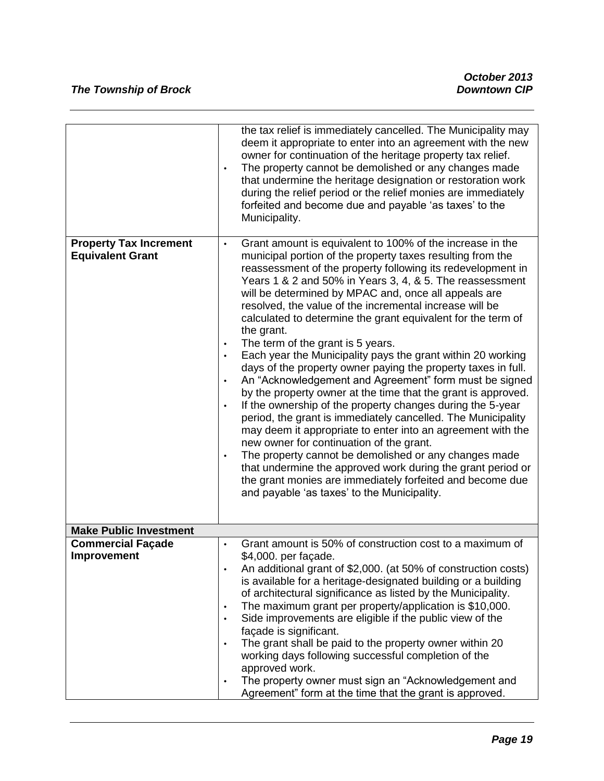|                                                          | the tax relief is immediately cancelled. The Municipality may<br>deem it appropriate to enter into an agreement with the new<br>owner for continuation of the heritage property tax relief.<br>The property cannot be demolished or any changes made<br>$\bullet$<br>that undermine the heritage designation or restoration work<br>during the relief period or the relief monies are immediately<br>forfeited and become due and payable 'as taxes' to the<br>Municipality.                                                                                                                                                                                                                                                                                                                                                                                                                                                                                                                                                                                                                                                                                                                                                                                                                   |
|----------------------------------------------------------|------------------------------------------------------------------------------------------------------------------------------------------------------------------------------------------------------------------------------------------------------------------------------------------------------------------------------------------------------------------------------------------------------------------------------------------------------------------------------------------------------------------------------------------------------------------------------------------------------------------------------------------------------------------------------------------------------------------------------------------------------------------------------------------------------------------------------------------------------------------------------------------------------------------------------------------------------------------------------------------------------------------------------------------------------------------------------------------------------------------------------------------------------------------------------------------------------------------------------------------------------------------------------------------------|
| <b>Property Tax Increment</b><br><b>Equivalent Grant</b> | Grant amount is equivalent to 100% of the increase in the<br>$\bullet$<br>municipal portion of the property taxes resulting from the<br>reassessment of the property following its redevelopment in<br>Years 1 & 2 and 50% in Years 3, 4, & 5. The reassessment<br>will be determined by MPAC and, once all appeals are<br>resolved, the value of the incremental increase will be<br>calculated to determine the grant equivalent for the term of<br>the grant.<br>The term of the grant is 5 years.<br>٠<br>Each year the Municipality pays the grant within 20 working<br>$\bullet$<br>days of the property owner paying the property taxes in full.<br>An "Acknowledgement and Agreement" form must be signed<br>$\bullet$<br>by the property owner at the time that the grant is approved.<br>If the ownership of the property changes during the 5-year<br>$\bullet$<br>period, the grant is immediately cancelled. The Municipality<br>may deem it appropriate to enter into an agreement with the<br>new owner for continuation of the grant.<br>The property cannot be demolished or any changes made<br>٠<br>that undermine the approved work during the grant period or<br>the grant monies are immediately forfeited and become due<br>and payable 'as taxes' to the Municipality. |
| <b>Make Public Investment</b>                            |                                                                                                                                                                                                                                                                                                                                                                                                                                                                                                                                                                                                                                                                                                                                                                                                                                                                                                                                                                                                                                                                                                                                                                                                                                                                                                |
| <b>Commercial Façade</b><br>Improvement                  | Grant amount is 50% of construction cost to a maximum of<br>\$4,000. per façade.<br>An additional grant of \$2,000. (at 50% of construction costs)<br>$\bullet$<br>is available for a heritage-designated building or a building<br>of architectural significance as listed by the Municipality.<br>The maximum grant per property/application is \$10,000.<br>$\bullet$<br>Side improvements are eligible if the public view of the<br>$\bullet$<br>façade is significant.<br>The grant shall be paid to the property owner within 20<br>$\bullet$<br>working days following successful completion of the<br>approved work.<br>The property owner must sign an "Acknowledgement and<br>$\bullet$<br>Agreement" form at the time that the grant is approved.                                                                                                                                                                                                                                                                                                                                                                                                                                                                                                                                   |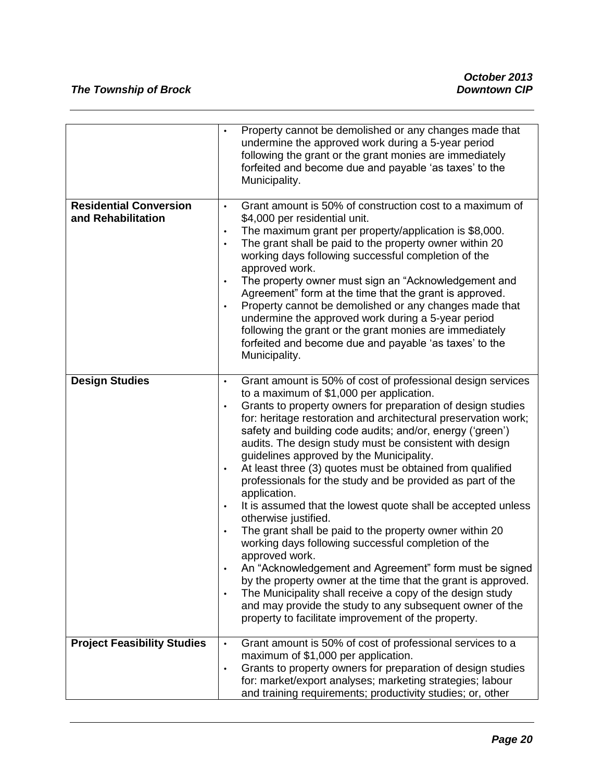| undermine the approved work during a 5-year period<br>following the grant or the grant monies are immediately<br>forfeited and become due and payable 'as taxes' to the<br>Municipality.<br><b>Residential Conversion</b><br>Grant amount is 50% of construction cost to a maximum of<br>$\bullet$<br>and Rehabilitation<br>\$4,000 per residential unit.<br>The maximum grant per property/application is \$8,000.<br>$\bullet$<br>The grant shall be paid to the property owner within 20<br>$\bullet$<br>working days following successful completion of the<br>approved work.<br>The property owner must sign an "Acknowledgement and<br>$\bullet$<br>Agreement" form at the time that the grant is approved.<br>Property cannot be demolished or any changes made that<br>$\bullet$<br>undermine the approved work during a 5-year period<br>following the grant or the grant monies are immediately<br>forfeited and become due and payable 'as taxes' to the<br>Municipality.<br><b>Design Studies</b><br>$\bullet$<br>to a maximum of \$1,000 per application.<br>Grants to property owners for preparation of design studies<br>$\bullet$<br>safety and building code audits; and/or, energy ('green')<br>audits. The design study must be consistent with design<br>guidelines approved by the Municipality.<br>At least three (3) quotes must be obtained from qualified<br>$\bullet$<br>professionals for the study and be provided as part of the<br>application.<br>$\bullet$ |                                                                                                                                                                                                                                                                                                                          |
|---------------------------------------------------------------------------------------------------------------------------------------------------------------------------------------------------------------------------------------------------------------------------------------------------------------------------------------------------------------------------------------------------------------------------------------------------------------------------------------------------------------------------------------------------------------------------------------------------------------------------------------------------------------------------------------------------------------------------------------------------------------------------------------------------------------------------------------------------------------------------------------------------------------------------------------------------------------------------------------------------------------------------------------------------------------------------------------------------------------------------------------------------------------------------------------------------------------------------------------------------------------------------------------------------------------------------------------------------------------------------------------------------------------------------------------------------------------------------------------------|--------------------------------------------------------------------------------------------------------------------------------------------------------------------------------------------------------------------------------------------------------------------------------------------------------------------------|
|                                                                                                                                                                                                                                                                                                                                                                                                                                                                                                                                                                                                                                                                                                                                                                                                                                                                                                                                                                                                                                                                                                                                                                                                                                                                                                                                                                                                                                                                                             | Property cannot be demolished or any changes made that<br>$\bullet$                                                                                                                                                                                                                                                      |
|                                                                                                                                                                                                                                                                                                                                                                                                                                                                                                                                                                                                                                                                                                                                                                                                                                                                                                                                                                                                                                                                                                                                                                                                                                                                                                                                                                                                                                                                                             |                                                                                                                                                                                                                                                                                                                          |
| otherwise justified.<br>The grant shall be paid to the property owner within 20<br>$\bullet$<br>working days following successful completion of the<br>approved work.<br>The Municipality shall receive a copy of the design study<br>$\bullet$<br>and may provide the study to any subsequent owner of the<br>property to facilitate improvement of the property.                                                                                                                                                                                                                                                                                                                                                                                                                                                                                                                                                                                                                                                                                                                                                                                                                                                                                                                                                                                                                                                                                                                          | Grant amount is 50% of cost of professional design services<br>for: heritage restoration and architectural preservation work;<br>It is assumed that the lowest quote shall be accepted unless<br>An "Acknowledgement and Agreement" form must be signed<br>by the property owner at the time that the grant is approved. |
| <b>Project Feasibility Studies</b><br>Grant amount is 50% of cost of professional services to a<br>$\bullet$<br>maximum of \$1,000 per application.<br>Grants to property owners for preparation of design studies<br>$\bullet$<br>for: market/export analyses; marketing strategies; labour<br>and training requirements; productivity studies; or, other                                                                                                                                                                                                                                                                                                                                                                                                                                                                                                                                                                                                                                                                                                                                                                                                                                                                                                                                                                                                                                                                                                                                  |                                                                                                                                                                                                                                                                                                                          |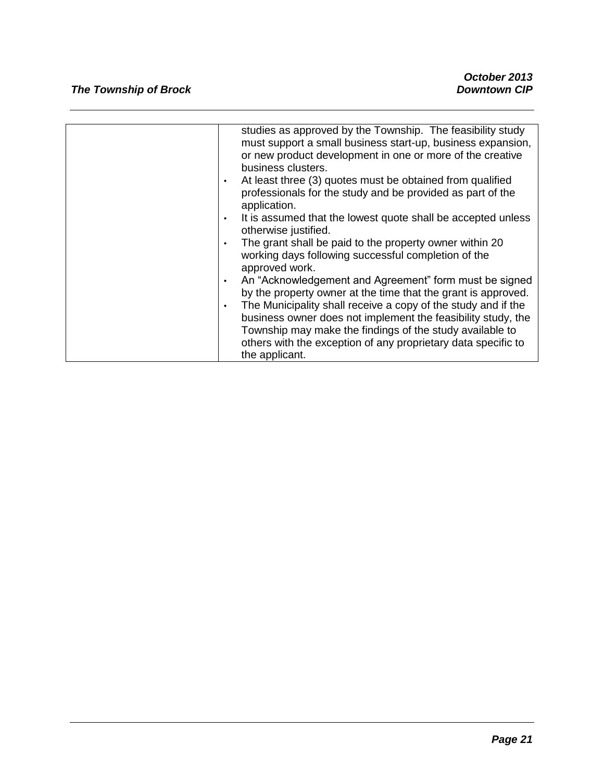| studies as approved by the Township. The feasibility study<br>must support a small business start-up, business expansion,<br>or new product development in one or more of the creative<br>business clusters.<br>At least three (3) quotes must be obtained from qualified<br>$\bullet$<br>professionals for the study and be provided as part of the<br>application.<br>It is assumed that the lowest quote shall be accepted unless<br>otherwise justified. |
|--------------------------------------------------------------------------------------------------------------------------------------------------------------------------------------------------------------------------------------------------------------------------------------------------------------------------------------------------------------------------------------------------------------------------------------------------------------|
| The grant shall be paid to the property owner within 20<br>working days following successful completion of the<br>approved work.                                                                                                                                                                                                                                                                                                                             |
| An "Acknowledgement and Agreement" form must be signed<br>by the property owner at the time that the grant is approved.<br>The Municipality shall receive a copy of the study and if the<br>$\bullet$<br>business owner does not implement the feasibility study, the<br>Township may make the findings of the study available to<br>others with the exception of any proprietary data specific to                                                           |
| the applicant.                                                                                                                                                                                                                                                                                                                                                                                                                                               |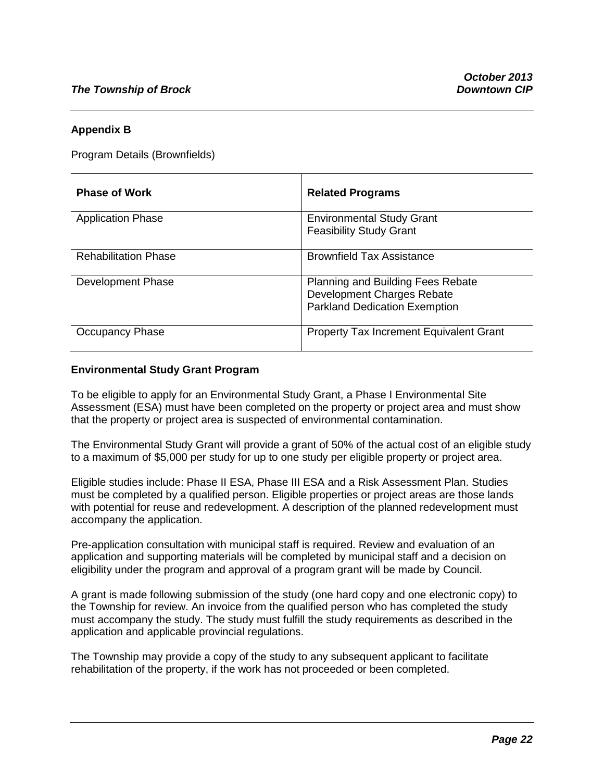#### **Appendix B**

Program Details (Brownfields)

| <b>Phase of Work</b>        | <b>Related Programs</b>                                                                                        |
|-----------------------------|----------------------------------------------------------------------------------------------------------------|
| <b>Application Phase</b>    | <b>Environmental Study Grant</b><br><b>Feasibility Study Grant</b>                                             |
| <b>Rehabilitation Phase</b> | <b>Brownfield Tax Assistance</b>                                                                               |
| Development Phase           | <b>Planning and Building Fees Rebate</b><br>Development Charges Rebate<br><b>Parkland Dedication Exemption</b> |
| Occupancy Phase             | Property Tax Increment Equivalent Grant                                                                        |

#### **Environmental Study Grant Program**

To be eligible to apply for an Environmental Study Grant, a Phase I Environmental Site Assessment (ESA) must have been completed on the property or project area and must show that the property or project area is suspected of environmental contamination.

The Environmental Study Grant will provide a grant of 50% of the actual cost of an eligible study to a maximum of \$5,000 per study for up to one study per eligible property or project area.

Eligible studies include: Phase II ESA, Phase III ESA and a Risk Assessment Plan. Studies must be completed by a qualified person. Eligible properties or project areas are those lands with potential for reuse and redevelopment. A description of the planned redevelopment must accompany the application.

Pre-application consultation with municipal staff is required. Review and evaluation of an application and supporting materials will be completed by municipal staff and a decision on eligibility under the program and approval of a program grant will be made by Council.

A grant is made following submission of the study (one hard copy and one electronic copy) to the Township for review. An invoice from the qualified person who has completed the study must accompany the study. The study must fulfill the study requirements as described in the application and applicable provincial regulations.

The Township may provide a copy of the study to any subsequent applicant to facilitate rehabilitation of the property, if the work has not proceeded or been completed.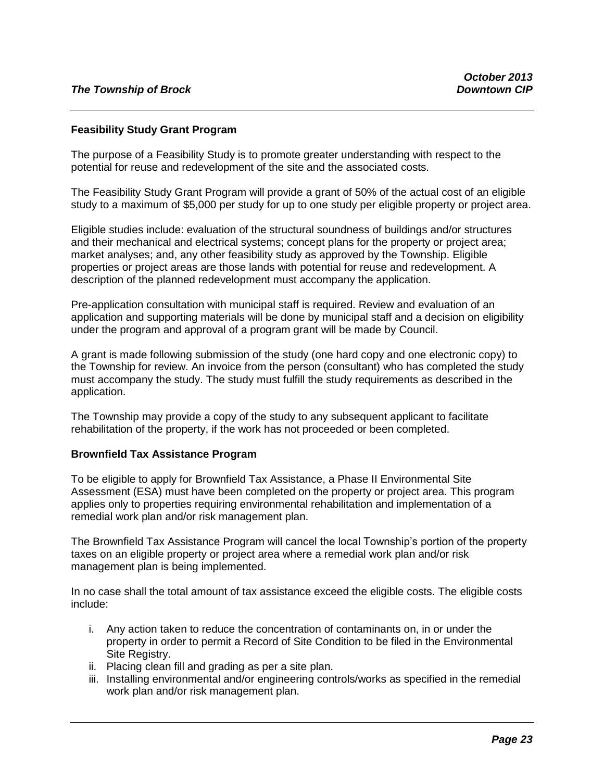#### **Feasibility Study Grant Program**

The purpose of a Feasibility Study is to promote greater understanding with respect to the potential for reuse and redevelopment of the site and the associated costs.

The Feasibility Study Grant Program will provide a grant of 50% of the actual cost of an eligible study to a maximum of \$5,000 per study for up to one study per eligible property or project area.

Eligible studies include: evaluation of the structural soundness of buildings and/or structures and their mechanical and electrical systems; concept plans for the property or project area; market analyses; and, any other feasibility study as approved by the Township. Eligible properties or project areas are those lands with potential for reuse and redevelopment. A description of the planned redevelopment must accompany the application.

Pre-application consultation with municipal staff is required. Review and evaluation of an application and supporting materials will be done by municipal staff and a decision on eligibility under the program and approval of a program grant will be made by Council.

A grant is made following submission of the study (one hard copy and one electronic copy) to the Township for review. An invoice from the person (consultant) who has completed the study must accompany the study. The study must fulfill the study requirements as described in the application.

The Township may provide a copy of the study to any subsequent applicant to facilitate rehabilitation of the property, if the work has not proceeded or been completed.

#### **Brownfield Tax Assistance Program**

To be eligible to apply for Brownfield Tax Assistance, a Phase II Environmental Site Assessment (ESA) must have been completed on the property or project area. This program applies only to properties requiring environmental rehabilitation and implementation of a remedial work plan and/or risk management plan.

The Brownfield Tax Assistance Program will cancel the local Township's portion of the property taxes on an eligible property or project area where a remedial work plan and/or risk management plan is being implemented.

In no case shall the total amount of tax assistance exceed the eligible costs. The eligible costs include:

- i. Any action taken to reduce the concentration of contaminants on, in or under the property in order to permit a Record of Site Condition to be filed in the Environmental Site Registry.
- ii. Placing clean fill and grading as per a site plan.
- iii. Installing environmental and/or engineering controls/works as specified in the remedial work plan and/or risk management plan.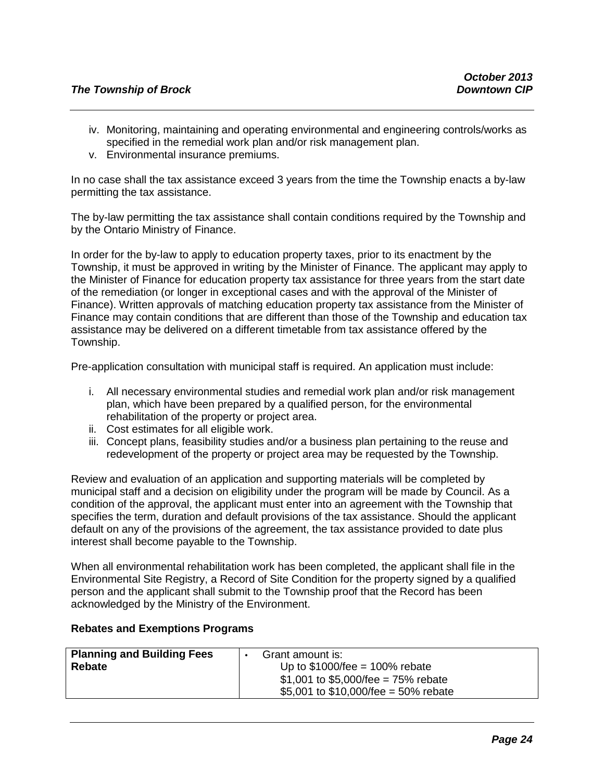- iv. Monitoring, maintaining and operating environmental and engineering controls/works as specified in the remedial work plan and/or risk management plan.
- v. Environmental insurance premiums.

In no case shall the tax assistance exceed 3 years from the time the Township enacts a by-law permitting the tax assistance.

The by-law permitting the tax assistance shall contain conditions required by the Township and by the Ontario Ministry of Finance.

In order for the by-law to apply to education property taxes, prior to its enactment by the Township, it must be approved in writing by the Minister of Finance. The applicant may apply to the Minister of Finance for education property tax assistance for three years from the start date of the remediation (or longer in exceptional cases and with the approval of the Minister of Finance). Written approvals of matching education property tax assistance from the Minister of Finance may contain conditions that are different than those of the Township and education tax assistance may be delivered on a different timetable from tax assistance offered by the Township.

Pre-application consultation with municipal staff is required. An application must include:

- i. All necessary environmental studies and remedial work plan and/or risk management plan, which have been prepared by a qualified person, for the environmental rehabilitation of the property or project area.
- ii. Cost estimates for all eligible work.
- iii. Concept plans, feasibility studies and/or a business plan pertaining to the reuse and redevelopment of the property or project area may be requested by the Township.

Review and evaluation of an application and supporting materials will be completed by municipal staff and a decision on eligibility under the program will be made by Council. As a condition of the approval, the applicant must enter into an agreement with the Township that specifies the term, duration and default provisions of the tax assistance. Should the applicant default on any of the provisions of the agreement, the tax assistance provided to date plus interest shall become payable to the Township.

When all environmental rehabilitation work has been completed, the applicant shall file in the Environmental Site Registry, a Record of Site Condition for the property signed by a qualified person and the applicant shall submit to the Township proof that the Record has been acknowledged by the Ministry of the Environment.

#### **Rebates and Exemptions Programs**

| <b>Planning and Building Fees</b> | Grant amount is:                        |
|-----------------------------------|-----------------------------------------|
| <b>Rebate</b>                     | Up to $$1000$ /fee = 100% rebate        |
|                                   | \$1,001 to \$5,000/fee = $75\%$ rebate  |
|                                   | \$5,001 to \$10,000/fee = $50\%$ rebate |